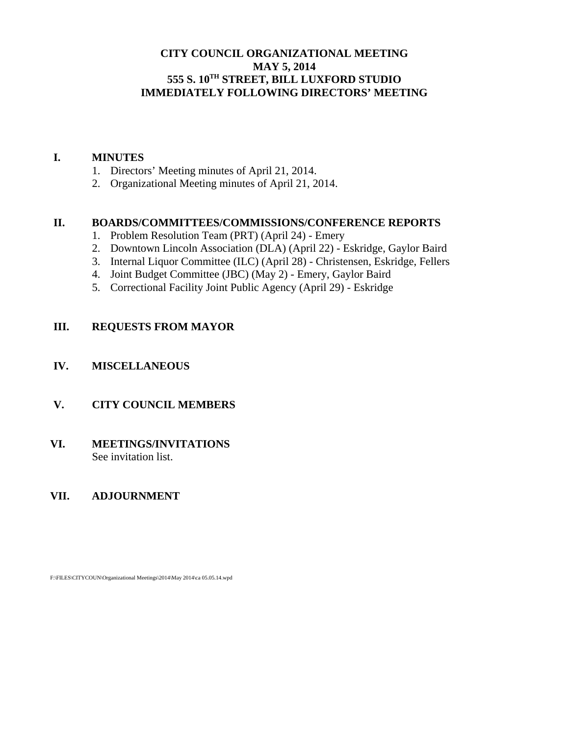## **CITY COUNCIL ORGANIZATIONAL MEETING MAY 5, 2014 555 S. 10TH STREET, BILL LUXFORD STUDIO IMMEDIATELY FOLLOWING DIRECTORS' MEETING**

#### **I. MINUTES**

- 1. Directors' Meeting minutes of April 21, 2014.
- 2. Organizational Meeting minutes of April 21, 2014.

#### **II. BOARDS/COMMITTEES/COMMISSIONS/CONFERENCE REPORTS**

- 1. Problem Resolution Team (PRT) (April 24) Emery
- 2. Downtown Lincoln Association (DLA) (April 22) Eskridge, Gaylor Baird
- 3. Internal Liquor Committee (ILC) (April 28) Christensen, Eskridge, Fellers
- 4. Joint Budget Committee (JBC) (May 2) Emery, Gaylor Baird
- 5. Correctional Facility Joint Public Agency (April 29) Eskridge

## **III. REQUESTS FROM MAYOR**

### **IV. MISCELLANEOUS**

## **V. CITY COUNCIL MEMBERS**

### **VI. MEETINGS/INVITATIONS** See invitation list.

## **VII. ADJOURNMENT**

F:\FILES\CITYCOUN\Organizational Meetings\2014\May 2014\ca 05.05.14.wpd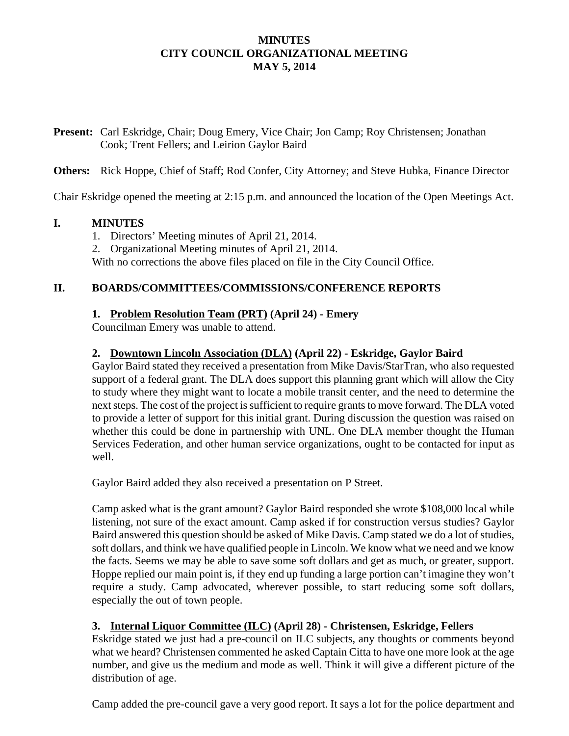## **MINUTES CITY COUNCIL ORGANIZATIONAL MEETING MAY 5, 2014**

**Present:** Carl Eskridge, Chair; Doug Emery, Vice Chair; Jon Camp; Roy Christensen; Jonathan Cook; Trent Fellers; and Leirion Gaylor Baird

**Others:** Rick Hoppe, Chief of Staff; Rod Confer, City Attorney; and Steve Hubka, Finance Director

Chair Eskridge opened the meeting at 2:15 p.m. and announced the location of the Open Meetings Act.

## **I. MINUTES**

- 1. Directors' Meeting minutes of April 21, 2014.
- 2. Organizational Meeting minutes of April 21, 2014.

With no corrections the above files placed on file in the City Council Office.

## **II. BOARDS/COMMITTEES/COMMISSIONS/CONFERENCE REPORTS**

## **1. Problem Resolution Team (PRT) (April 24) - Emery**

Councilman Emery was unable to attend.

## **2. Downtown Lincoln Association (DLA) (April 22) - Eskridge, Gaylor Baird**

Gaylor Baird stated they received a presentation from Mike Davis/StarTran, who also requested support of a federal grant. The DLA does support this planning grant which will allow the City to study where they might want to locate a mobile transit center, and the need to determine the next steps. The cost of the project is sufficient to require grants to move forward. The DLA voted to provide a letter of support for this initial grant. During discussion the question was raised on whether this could be done in partnership with UNL. One DLA member thought the Human Services Federation, and other human service organizations, ought to be contacted for input as well.

Gaylor Baird added they also received a presentation on P Street.

Camp asked what is the grant amount? Gaylor Baird responded she wrote \$108,000 local while listening, not sure of the exact amount. Camp asked if for construction versus studies? Gaylor Baird answered this question should be asked of Mike Davis. Camp stated we do a lot of studies, soft dollars, and think we have qualified people in Lincoln. We know what we need and we know the facts. Seems we may be able to save some soft dollars and get as much, or greater, support. Hoppe replied our main point is, if they end up funding a large portion can't imagine they won't require a study. Camp advocated, wherever possible, to start reducing some soft dollars, especially the out of town people.

# **3. Internal Liquor Committee (ILC) (April 28) - Christensen, Eskridge, Fellers**

Eskridge stated we just had a pre-council on ILC subjects, any thoughts or comments beyond what we heard? Christensen commented he asked Captain Citta to have one more look at the age number, and give us the medium and mode as well. Think it will give a different picture of the distribution of age.

Camp added the pre-council gave a very good report. It says a lot for the police department and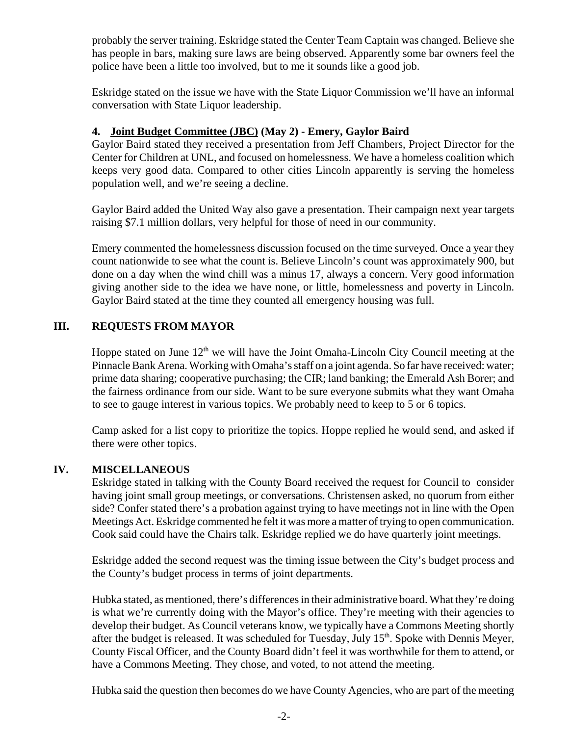probably the server training. Eskridge stated the Center Team Captain was changed. Believe she has people in bars, making sure laws are being observed. Apparently some bar owners feel the police have been a little too involved, but to me it sounds like a good job.

Eskridge stated on the issue we have with the State Liquor Commission we'll have an informal conversation with State Liquor leadership.

## **4. Joint Budget Committee (JBC) (May 2) - Emery, Gaylor Baird**

Gaylor Baird stated they received a presentation from Jeff Chambers, Project Director for the Center for Children at UNL, and focused on homelessness. We have a homeless coalition which keeps very good data. Compared to other cities Lincoln apparently is serving the homeless population well, and we're seeing a decline.

Gaylor Baird added the United Way also gave a presentation. Their campaign next year targets raising \$7.1 million dollars, very helpful for those of need in our community.

Emery commented the homelessness discussion focused on the time surveyed. Once a year they count nationwide to see what the count is. Believe Lincoln's count was approximately 900, but done on a day when the wind chill was a minus 17, always a concern. Very good information giving another side to the idea we have none, or little, homelessness and poverty in Lincoln. Gaylor Baird stated at the time they counted all emergency housing was full.

## **III. REQUESTS FROM MAYOR**

Hoppe stated on June  $12<sup>th</sup>$  we will have the Joint Omaha-Lincoln City Council meeting at the Pinnacle Bank Arena. Working with Omaha's staff on a joint agenda. So far have received: water; prime data sharing; cooperative purchasing; the CIR; land banking; the Emerald Ash Borer; and the fairness ordinance from our side. Want to be sure everyone submits what they want Omaha to see to gauge interest in various topics. We probably need to keep to 5 or 6 topics.

Camp asked for a list copy to prioritize the topics. Hoppe replied he would send, and asked if there were other topics.

#### **IV. MISCELLANEOUS**

Eskridge stated in talking with the County Board received the request for Council to consider having joint small group meetings, or conversations. Christensen asked, no quorum from either side? Confer stated there's a probation against trying to have meetings not in line with the Open Meetings Act. Eskridge commented he felt it was more a matter of trying to open communication. Cook said could have the Chairs talk. Eskridge replied we do have quarterly joint meetings.

Eskridge added the second request was the timing issue between the City's budget process and the County's budget process in terms of joint departments.

Hubka stated, as mentioned, there's differences in their administrative board. What they're doing is what we're currently doing with the Mayor's office. They're meeting with their agencies to develop their budget. As Council veterans know, we typically have a Commons Meeting shortly after the budget is released. It was scheduled for Tuesday, July 15<sup>th</sup>. Spoke with Dennis Meyer, County Fiscal Officer, and the County Board didn't feel it was worthwhile for them to attend, or have a Commons Meeting. They chose, and voted, to not attend the meeting.

Hubka said the question then becomes do we have County Agencies, who are part of the meeting